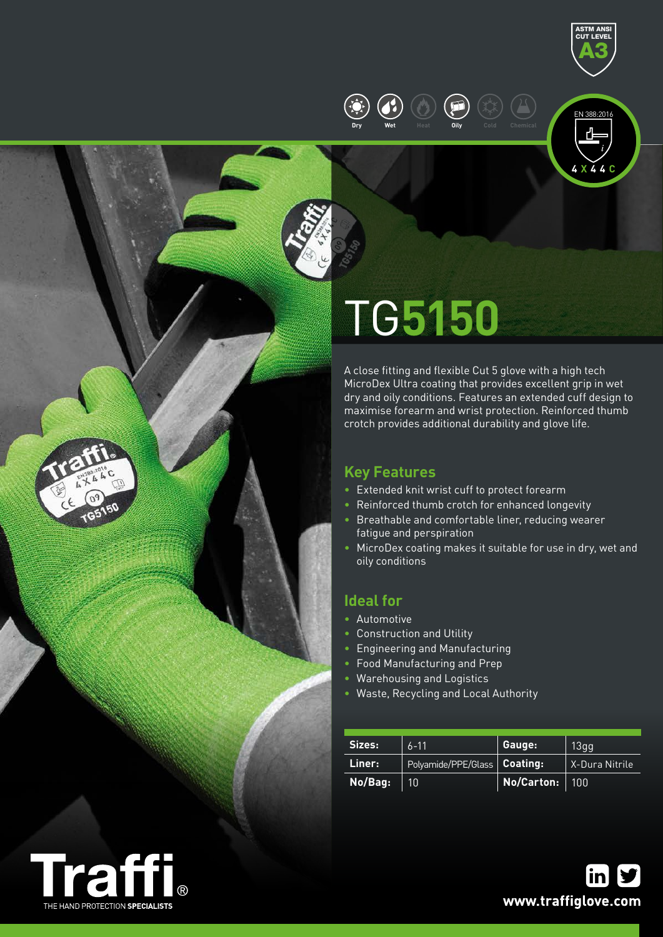

**4 X 4 4 C**

EN 388:2016



# TG**5150**

**Dry Wet Heat Oily Cold Chemical**

A close fitting and flexible Cut 5 glove with a high tech MicroDex Ultra coating that provides excellent grip in wet dry and oily conditions. Features an extended cuff design to maximise forearm and wrist protection. Reinforced thumb crotch provides additional durability and glove life.

## **Key Features**

- Extended knit wrist cuff to protect forearm
- Reinforced thumb crotch for enhanced longevity
- Breathable and comfortable liner, reducing wearer fatigue and perspiration
- MicroDex coating makes it suitable for use in dry, wet and oily conditions

### **Ideal for**

- Automotive
- Construction and Utility
- Engineering and Manufacturing
- Food Manufacturing and Prep
- Warehousing and Logistics
- Waste, Recycling and Local Authority

| Sizes:  | $6 - 11$                       | Gauge:         | 13qq           |  |
|---------|--------------------------------|----------------|----------------|--|
| Liner:  | Polyamide/PPE/Glass   Coating: |                | X-Dura Nitrile |  |
| No/Bag: | 10                             | No/Carton: 100 |                |  |